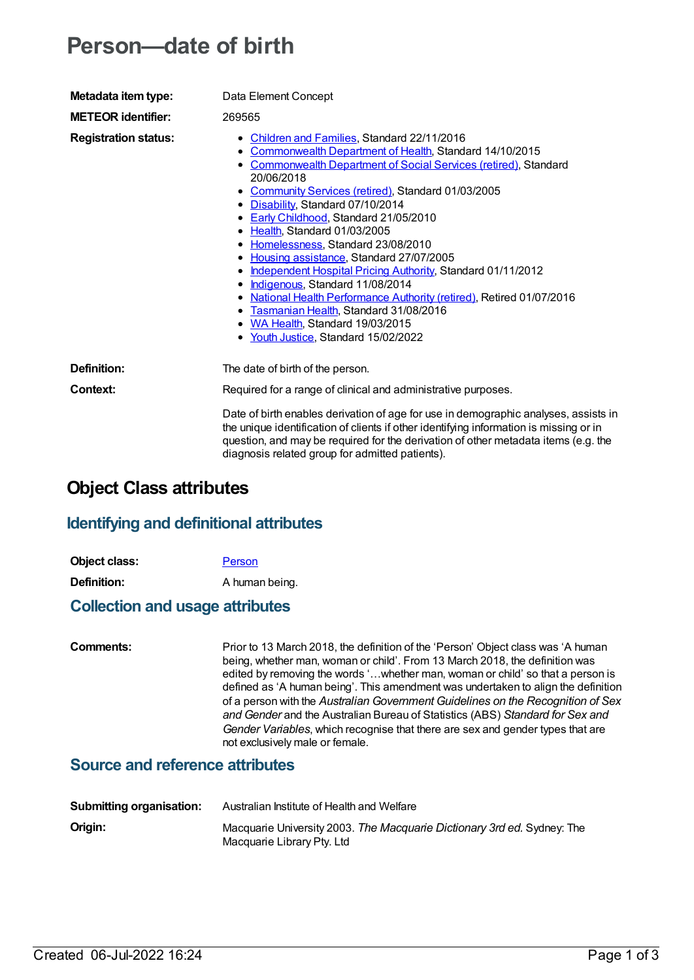# **Person—date of birth**

| Metadata item type:         | Data Element Concept                                                                                                                                                                                                                                                                                                                                                                                                                                                                                                                                                                                                                                                                                                                                |  |  |
|-----------------------------|-----------------------------------------------------------------------------------------------------------------------------------------------------------------------------------------------------------------------------------------------------------------------------------------------------------------------------------------------------------------------------------------------------------------------------------------------------------------------------------------------------------------------------------------------------------------------------------------------------------------------------------------------------------------------------------------------------------------------------------------------------|--|--|
| <b>METEOR identifier:</b>   | 269565                                                                                                                                                                                                                                                                                                                                                                                                                                                                                                                                                                                                                                                                                                                                              |  |  |
| <b>Registration status:</b> | Children and Families, Standard 22/11/2016<br>Commonwealth Department of Health, Standard 14/10/2015<br><b>Commonwealth Department of Social Services (retired), Standard</b><br>20/06/2018<br>• Community Services (retired), Standard 01/03/2005<br>• Disability, Standard 07/10/2014<br>• Early Childhood, Standard 21/05/2010<br>• Health Standard 01/03/2005<br>• Homelessness, Standard 23/08/2010<br>Housing assistance, Standard 27/07/2005<br>Independent Hospital Pricing Authority, Standard 01/11/2012<br>• Indigenous, Standard 11/08/2014<br>National Health Performance Authority (retired), Retired 01/07/2016<br>• Tasmanian Health, Standard 31/08/2016<br>• WA Health, Standard 19/03/2015<br>Youth Justice, Standard 15/02/2022 |  |  |
| Definition:                 | The date of birth of the person.                                                                                                                                                                                                                                                                                                                                                                                                                                                                                                                                                                                                                                                                                                                    |  |  |
| Context:                    | Required for a range of clinical and administrative purposes.                                                                                                                                                                                                                                                                                                                                                                                                                                                                                                                                                                                                                                                                                       |  |  |
|                             | Date of birth enables derivation of age for use in demographic analyses, assists in<br>the unique identification of clients if other identifying information is missing or in<br>question, and may be required for the derivation of other metadata items (e.g. the<br>diagnosis related group for admitted patients).                                                                                                                                                                                                                                                                                                                                                                                                                              |  |  |

# **Object Class attributes**

#### **Identifying and definitional attributes**

**Object class:** [Person](https://meteor.aihw.gov.au/content/268955)

**Definition:** A human being.

#### **Collection and usage attributes**

**Comments:** Prior to 13 March 2018, the definition of the 'Person' Object class was 'A human being, whether man, woman or child'. From 13 March 2018, the definition was edited by removing the words '…whether man, woman or child' so that a person is defined as 'A human being'. This amendment was undertaken to align the definition of a person with the *Australian Government Guidelines on the Recognition of Sex and Gender* and the Australian Bureau of Statistics (ABS) *Standard for Sex and Gender Variables*, which recognise that there are sex and gender types that are not exclusively male or female.

### **Source and reference attributes**

| Submitting organisation: | Australian Institute of Health and Welfare                                                            |  |
|--------------------------|-------------------------------------------------------------------------------------------------------|--|
| Origin:                  | Macquarie University 2003. The Macquarie Dictionary 3rd ed. Sydney: The<br>Macquarie Library Pty. Ltd |  |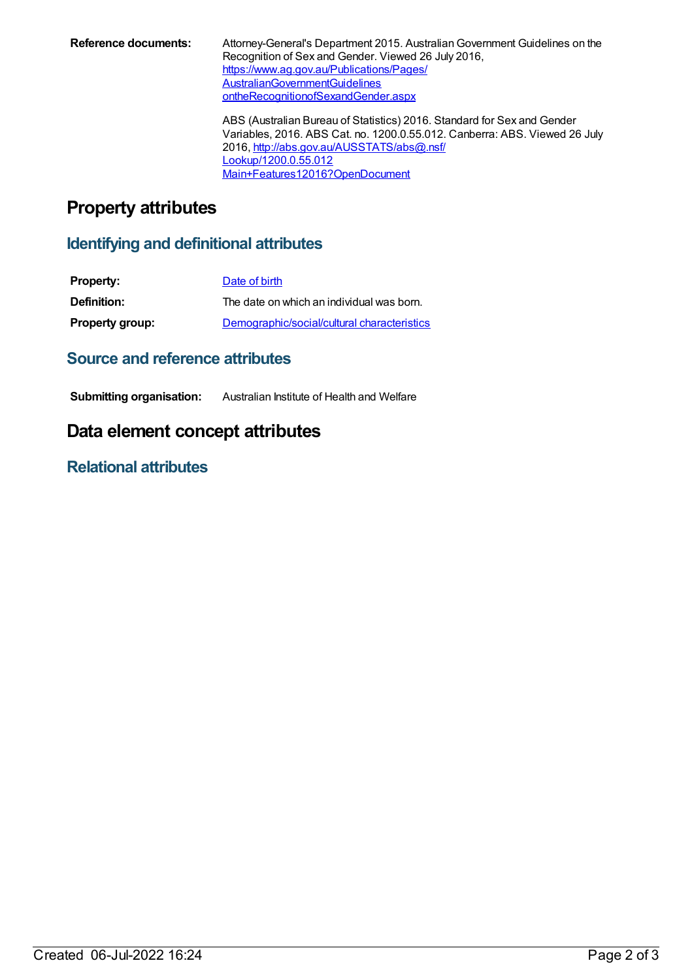Reference documents: Attorney-General's Department 2015. Australian Government Guidelines on the Recognition of Sex and Gender. Viewed 26 July 2016, [https://www.ag.gov.au/Publications/Pages/](https://www.ag.gov.au/Publications/Pages/AustralianGovernmentGuidelinesontheRecognitionofSexandGender.aspx) AustralianGovernmentGuidelines ontheRecognitionofSexandGender.aspx

> ABS (Australian Bureau of Statistics) 2016. Standard for Sex and Gender Variables, 2016. ABS Cat. no. 1200.0.55.012. Canberra: ABS. Viewed 26 July 2016, [http://abs.gov.au/AUSSTATS/abs@.nsf/](http://abs.gov.au/AUSSTATS/abs@.nsf/Lookup/1200.0.55.012Main+Features12016?OpenDocument) Lookup/1200.0.55.012 Main+Features12016?OpenDocument

# **Property attributes**

#### **Identifying and definitional attributes**

| <b>Property:</b>       | Date of birth                               |
|------------------------|---------------------------------------------|
| <b>Definition:</b>     | The date on which an individual was born.   |
| <b>Property group:</b> | Demographic/social/cultural characteristics |

### **Source and reference attributes**

**Submitting organisation:** Australian Institute of Health and Welfare

## **Data element concept attributes**

### **Relational attributes**